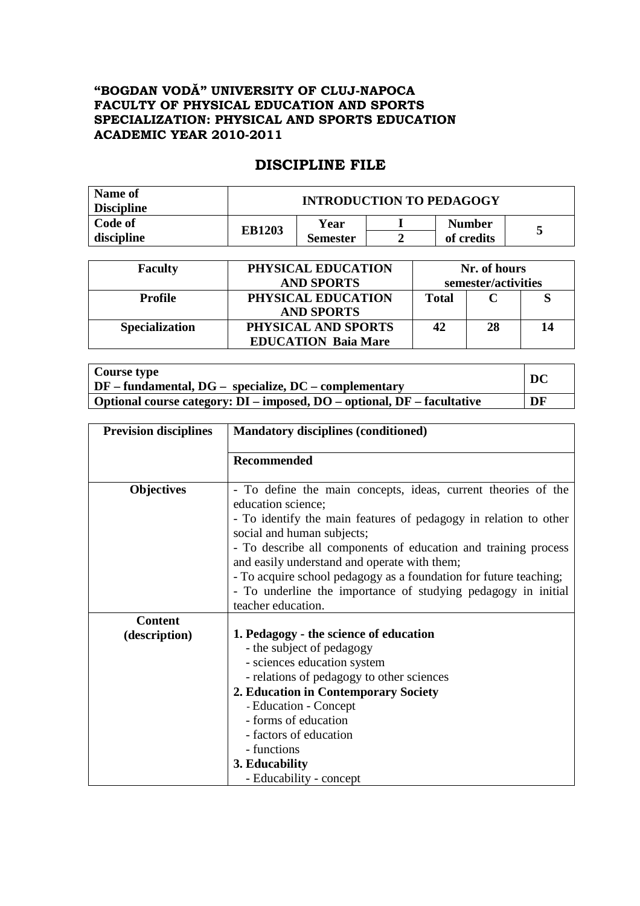## **"BOGDAN VODĂ" UNIVERSITY OF CLUJ-NAPOCA FACULTY OF PHYSICAL EDUCATION AND SPORTS SPECIALIZATION: PHYSICAL AND SPORTS EDUCATION ACADEMIC YEAR 2010-2011**

## **DISCIPLINE FILE**

| Name of<br><b>Discipline</b> | <b>INTRODUCTION TO PEDAGOGY</b> |                         |  |                             |  |
|------------------------------|---------------------------------|-------------------------|--|-----------------------------|--|
| Code of<br>discipline        | <b>EB1203</b>                   | Year<br><b>Semester</b> |  | <b>Number</b><br>of credits |  |

| <b>Faculty</b>        | PHYSICAL EDUCATION<br><b>AND SPORTS</b>           | Nr. of hours<br>semester/activities |    |  |
|-----------------------|---------------------------------------------------|-------------------------------------|----|--|
| <b>Profile</b>        | PHYSICAL EDUCATION<br><b>AND SPORTS</b>           | Total                               |    |  |
| <b>Specialization</b> | PHYSICAL AND SPORTS<br><b>EDUCATION Baia Mare</b> | 42                                  | 28 |  |

| Course type                                                                   | DC |
|-------------------------------------------------------------------------------|----|
| $\mid DF - fundamental, DG - specialize, DC - complementary \mid$             |    |
| Optional course category: $DI$ – imposed, $DO$ – optional, $DF$ – facultative | DF |

| <b>Prevision disciplines</b> | <b>Mandatory disciplines (conditioned)</b>                                                                                                                                                                                                              |  |  |  |
|------------------------------|---------------------------------------------------------------------------------------------------------------------------------------------------------------------------------------------------------------------------------------------------------|--|--|--|
|                              | Recommended                                                                                                                                                                                                                                             |  |  |  |
| <b>Objectives</b>            | - To define the main concepts, ideas, current theories of the<br>education science;<br>- To identify the main features of pedagogy in relation to other<br>social and human subjects;<br>- To describe all components of education and training process |  |  |  |
|                              | and easily understand and operate with them;<br>- To acquire school pedagogy as a foundation for future teaching;<br>- To underline the importance of studying pedagogy in initial<br>teacher education.                                                |  |  |  |
| <b>Content</b>               |                                                                                                                                                                                                                                                         |  |  |  |
| (description)                | 1. Pedagogy - the science of education                                                                                                                                                                                                                  |  |  |  |
|                              | - the subject of pedagogy                                                                                                                                                                                                                               |  |  |  |
|                              | - sciences education system                                                                                                                                                                                                                             |  |  |  |
|                              | - relations of pedagogy to other sciences                                                                                                                                                                                                               |  |  |  |
|                              | 2. Education in Contemporary Society                                                                                                                                                                                                                    |  |  |  |
|                              | - Education - Concept                                                                                                                                                                                                                                   |  |  |  |
|                              | - forms of education                                                                                                                                                                                                                                    |  |  |  |
|                              | - factors of education                                                                                                                                                                                                                                  |  |  |  |
|                              | - functions                                                                                                                                                                                                                                             |  |  |  |
|                              | 3. Educability                                                                                                                                                                                                                                          |  |  |  |
|                              | - Educability - concept                                                                                                                                                                                                                                 |  |  |  |